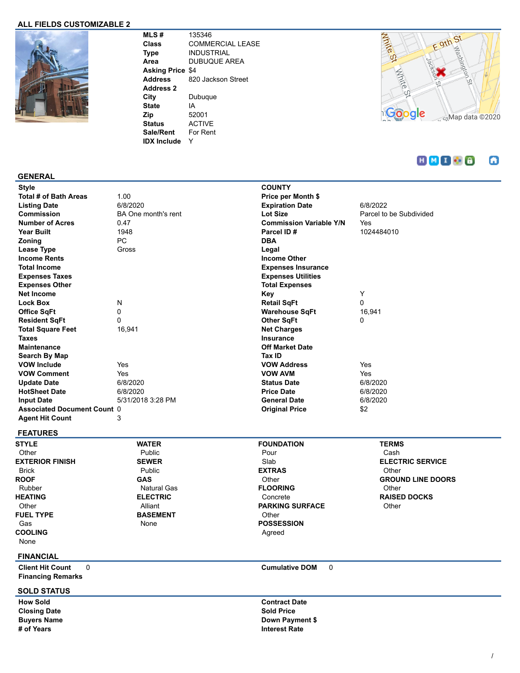### **ALL FIELDS CUSTOMIZABLE 2**



**MLS #** 135346 **Class** COMMERCIAL LEASE **Type** INDUSTRIAL **Area** DUBUQUE AREA **Asking Price** \$4 **Address** 820 Jackson Street **Address 2 City** Dubuque **State** IA **Zip** 52001 **Status** ACTIVE **Sale/Rent** For Rent **IDX Include** Y



#### $H$  $M$  $I$  $S$  $B$ ω

#### **GENERAL**

| Style                              |                            | <b>COUNTY</b>                  |                         |
|------------------------------------|----------------------------|--------------------------------|-------------------------|
| Total # of Bath Areas              | 1.00                       | Price per Month \$             |                         |
| <b>Listing Date</b>                | 6/8/2020                   | <b>Expiration Date</b>         | 6/8/2022                |
| <b>Commission</b>                  | <b>BA One month's rent</b> | Lot Size                       | Parcel to be Subdivided |
| <b>Number of Acres</b>             | 0.47                       | <b>Commission Variable Y/N</b> | Yes                     |
| <b>Year Built</b>                  | 1948                       | Parcel ID#                     | 1024484010              |
| Zoning                             | PC                         | <b>DBA</b>                     |                         |
| Lease Type                         | Gross                      | Legal                          |                         |
| <b>Income Rents</b>                |                            | <b>Income Other</b>            |                         |
| <b>Total Income</b>                |                            | <b>Expenses Insurance</b>      |                         |
| <b>Expenses Taxes</b>              |                            | <b>Expenses Utilities</b>      |                         |
| <b>Expenses Other</b>              |                            | <b>Total Expenses</b>          |                         |
| <b>Net Income</b>                  |                            | Key                            | Y                       |
| <b>Lock Box</b>                    | Ν                          | <b>Retail SqFt</b>             | 0                       |
| <b>Office SqFt</b>                 | $\mathbf 0$                | <b>Warehouse SqFt</b>          | 16,941                  |
| <b>Resident SqFt</b>               | $\mathbf{0}$               | <b>Other SqFt</b>              | 0                       |
| <b>Total Square Feet</b>           | 16,941                     | <b>Net Charges</b>             |                         |
| <b>Taxes</b>                       |                            | <b>Insurance</b>               |                         |
| <b>Maintenance</b>                 |                            | <b>Off Market Date</b>         |                         |
| Search By Map                      |                            | Tax ID                         |                         |
| <b>VOW Include</b>                 | Yes                        | <b>VOW Address</b>             | Yes                     |
| <b>VOW Comment</b>                 | Yes                        | <b>VOW AVM</b>                 | Yes                     |
| <b>Update Date</b>                 | 6/8/2020                   | <b>Status Date</b>             | 6/8/2020                |
| <b>HotSheet Date</b>               | 6/8/2020                   | <b>Price Date</b>              | 6/8/2020                |
| <b>Input Date</b>                  | 5/31/2018 3:28 PM          | <b>General Date</b>            | 6/8/2020                |
| <b>Associated Document Count 0</b> |                            | <b>Original Price</b>          | \$2                     |
| <b>Agent Hit Count</b>             | 3                          |                                |                         |
|                                    |                            |                                |                         |

## **FEATURES**

**STYLE Other EXTERIOR FINISH** Brick **ROOF** Rubber **HEATING** Other **FUEL TYPE** Gas **COOLING**

| <b>EXTERIOR FINIS</b> |
|-----------------------|
|                       |
| <b>Rrick</b>          |
| ROOF                  |
| Rubber                |
| HEATING               |
| ∩ther                 |
| FUEL TYPE             |
| Gas                   |
| <b>COOLING</b>        |
| None                  |
|                       |

#### Public **SEWER** Public **GAS** Natural Gas **ELECTRIC** Alliant **BASEMENT** None

**WATER**

#### **FOUNDATION** Pour Slab **EXTRAS Other FLOORING** Concrete **PARKING SURFACE Other POSSESSION** Agreed

### **TERMS** Cash **ELECTRIC SERVICE Other GROUND LINE DOORS Other RAISED DOCKS Other**

## **FINANCIAL**

**Client Hit Count** 0 **Cumulative DOM** 0 **Financing Remarks**

#### **SOLD STATUS**

**Closing Date Sold Price # of Years Interest Rate**

**How Sold Contract Date Buyers Name Down Payment \$**